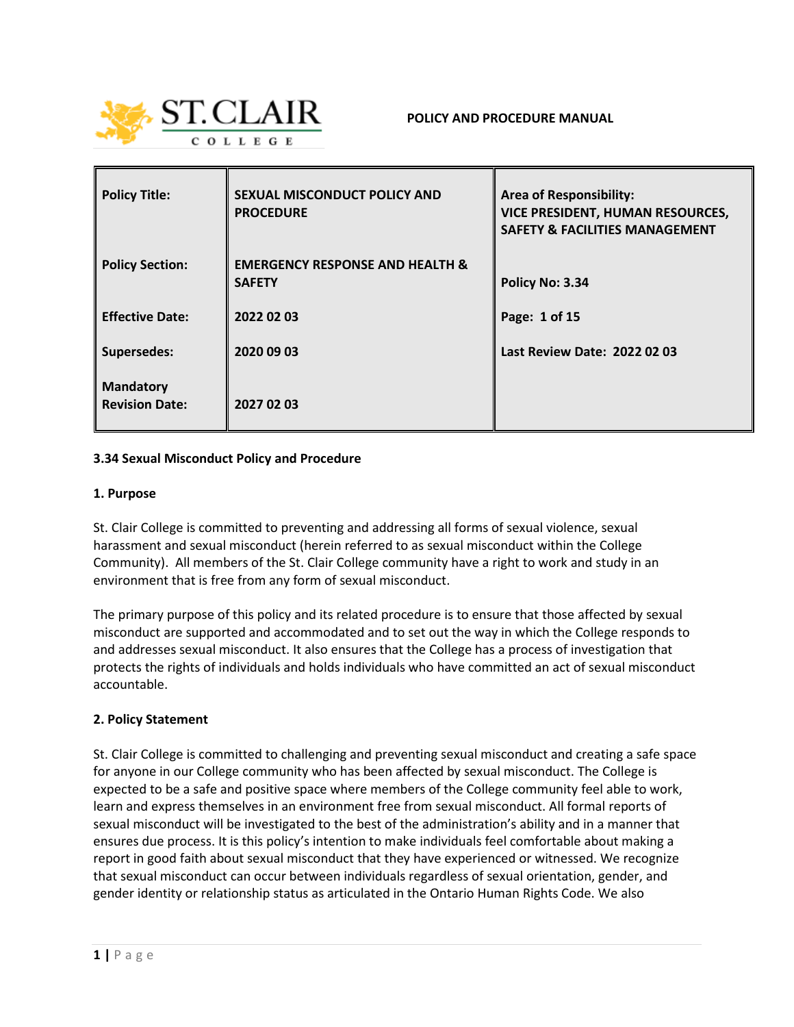

| <b>Policy Title:</b>                      | <b>SEXUAL MISCONDUCT POLICY AND</b><br><b>PROCEDURE</b>     | <b>Area of Responsibility:</b><br><b>VICE PRESIDENT, HUMAN RESOURCES,</b><br><b>SAFETY &amp; FACILITIES MANAGEMENT</b> |
|-------------------------------------------|-------------------------------------------------------------|------------------------------------------------------------------------------------------------------------------------|
| <b>Policy Section:</b>                    | <b>EMERGENCY RESPONSE AND HEALTH &amp;</b><br><b>SAFETY</b> | Policy No: 3.34                                                                                                        |
| <b>Effective Date:</b>                    | 2022 02 03                                                  | Page: 1 of 15                                                                                                          |
| <b>Supersedes:</b>                        | 2020 09 03                                                  | Last Review Date: 2022 02 03                                                                                           |
| <b>Mandatory</b><br><b>Revision Date:</b> | 2027 02 03                                                  |                                                                                                                        |

#### **3.34 Sexual Misconduct Policy and Procedure**

#### **1. Purpose**

St. Clair College is committed to preventing and addressing all forms of sexual violence, sexual harassment and sexual misconduct (herein referred to as sexual misconduct within the College Community). All members of the St. Clair College community have a right to work and study in an environment that is free from any form of sexual misconduct.

The primary purpose of this policy and its related procedure is to ensure that those affected by sexual misconduct are supported and accommodated and to set out the way in which the College responds to and addresses sexual misconduct. It also ensures that the College has a process of investigation that protects the rights of individuals and holds individuals who have committed an act of sexual misconduct accountable.

#### **2. Policy Statement**

St. Clair College is committed to challenging and preventing sexual misconduct and creating a safe space for anyone in our College community who has been affected by sexual misconduct. The College is expected to be a safe and positive space where members of the College community feel able to work, learn and express themselves in an environment free from sexual misconduct. All formal reports of sexual misconduct will be investigated to the best of the administration's ability and in a manner that ensures due process. It is this policy's intention to make individuals feel comfortable about making a report in good faith about sexual misconduct that they have experienced or witnessed. We recognize that sexual misconduct can occur between individuals regardless of sexual orientation, gender, and gender identity or relationship status as articulated in the Ontario Human Rights Code. We also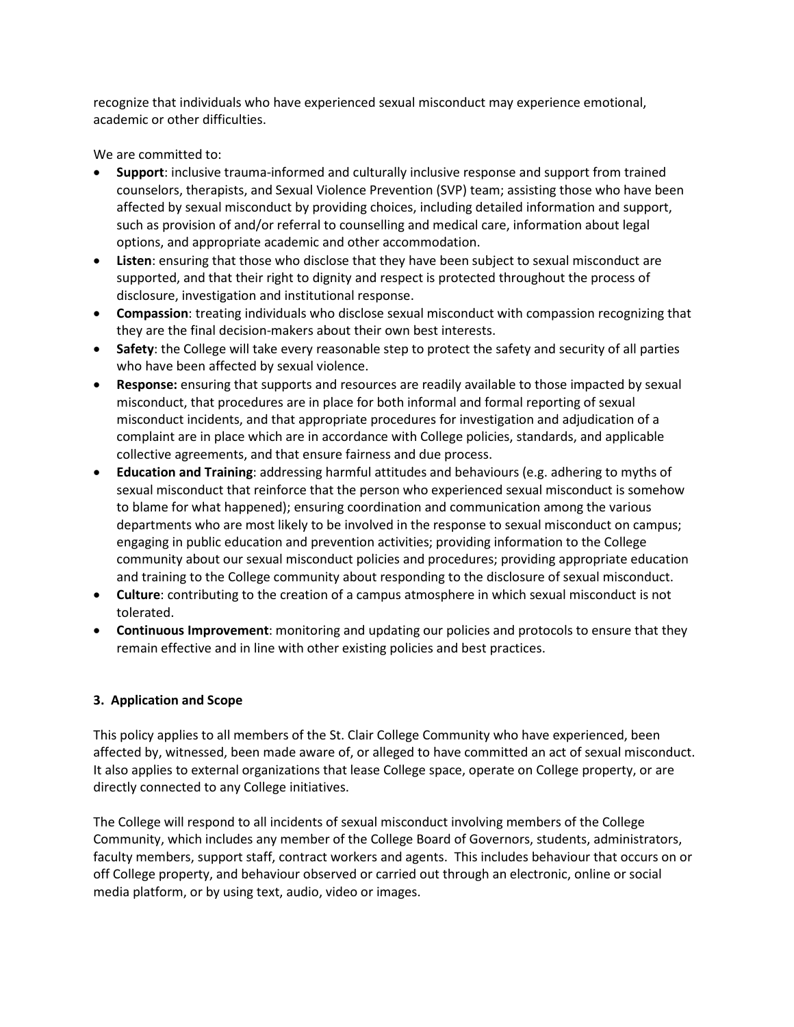recognize that individuals who have experienced sexual misconduct may experience emotional, academic or other difficulties.

We are committed to:

- **Support**: inclusive trauma-informed and culturally inclusive response and support from trained counselors, therapists, and Sexual Violence Prevention (SVP) team; assisting those who have been affected by sexual misconduct by providing choices, including detailed information and support, such as provision of and/or referral to counselling and medical care, information about legal options, and appropriate academic and other accommodation.
- **Listen**: ensuring that those who disclose that they have been subject to sexual misconduct are supported, and that their right to dignity and respect is protected throughout the process of disclosure, investigation and institutional response.
- **Compassion**: treating individuals who disclose sexual misconduct with compassion recognizing that they are the final decision-makers about their own best interests.
- **Safety**: the College will take every reasonable step to protect the safety and security of all parties who have been affected by sexual violence.
- **Response:** ensuring that supports and resources are readily available to those impacted by sexual misconduct, that procedures are in place for both informal and formal reporting of sexual misconduct incidents, and that appropriate procedures for investigation and adjudication of a complaint are in place which are in accordance with College policies, standards, and applicable collective agreements, and that ensure fairness and due process.
- **Education and Training**: addressing harmful attitudes and behaviours (e.g. adhering to myths of sexual misconduct that reinforce that the person who experienced sexual misconduct is somehow to blame for what happened); ensuring coordination and communication among the various departments who are most likely to be involved in the response to sexual misconduct on campus; engaging in public education and prevention activities; providing information to the College community about our sexual misconduct policies and procedures; providing appropriate education and training to the College community about responding to the disclosure of sexual misconduct.
- **Culture**: contributing to the creation of a campus atmosphere in which sexual misconduct is not tolerated.
- **Continuous Improvement**: monitoring and updating our policies and protocols to ensure that they remain effective and in line with other existing policies and best practices.

## **3. Application and Scope**

This policy applies to all members of the St. Clair College Community who have experienced, been affected by, witnessed, been made aware of, or alleged to have committed an act of sexual misconduct. It also applies to external organizations that lease College space, operate on College property, or are directly connected to any College initiatives.

The College will respond to all incidents of sexual misconduct involving members of the College Community, which includes any member of the College Board of Governors, students, administrators, faculty members, support staff, contract workers and agents. This includes behaviour that occurs on or off College property, and behaviour observed or carried out through an electronic, online or social media platform, or by using text, audio, video or images.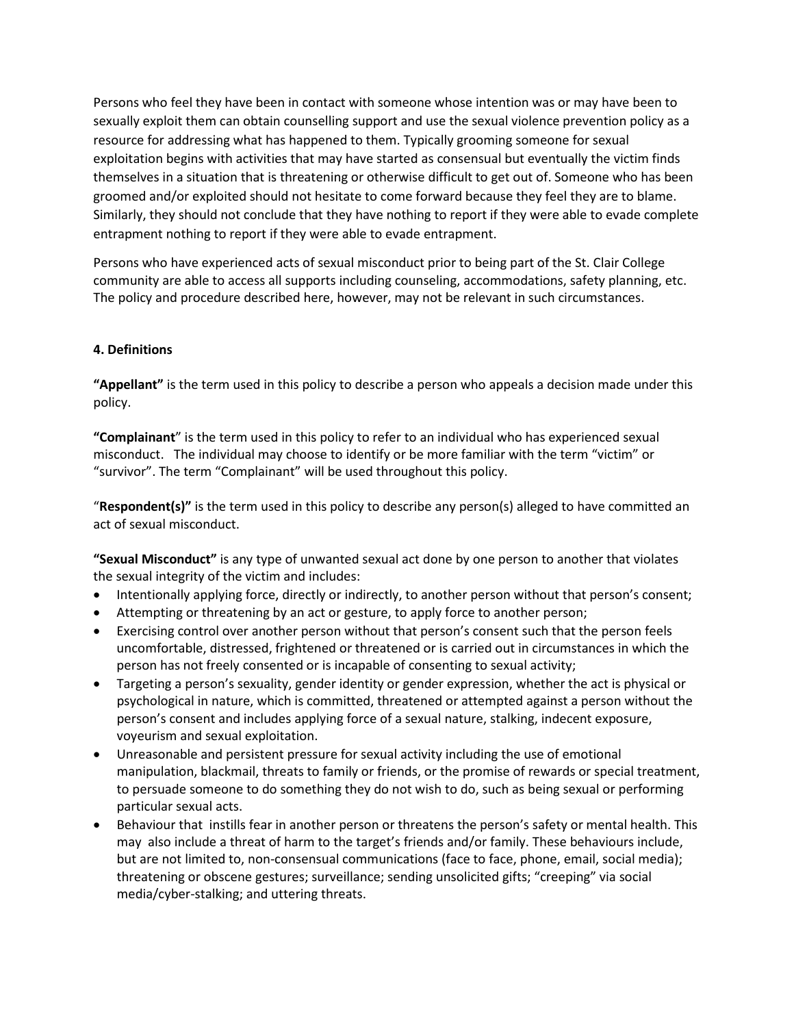Persons who feel they have been in contact with someone whose intention was or may have been to sexually exploit them can obtain counselling support and use the sexual violence prevention policy as a resource for addressing what has happened to them. Typically grooming someone for sexual exploitation begins with activities that may have started as consensual but eventually the victim finds themselves in a situation that is threatening or otherwise difficult to get out of. Someone who has been groomed and/or exploited should not hesitate to come forward because they feel they are to blame. Similarly, they should not conclude that they have nothing to report if they were able to evade complete entrapment nothing to report if they were able to evade entrapment.

Persons who have experienced acts of sexual misconduct prior to being part of the St. Clair College community are able to access all supports including counseling, accommodations, safety planning, etc. The policy and procedure described here, however, may not be relevant in such circumstances.

## **4. Definitions**

**"Appellant"** is the term used in this policy to describe a person who appeals a decision made under this policy.

**"Complainant**" is the term used in this policy to refer to an individual who has experienced sexual misconduct. The individual may choose to identify or be more familiar with the term "victim" or "survivor". The term "Complainant" will be used throughout this policy.

"**Respondent(s)"** is the term used in this policy to describe any person(s) alleged to have committed an act of sexual misconduct.

**"Sexual Misconduct"** is any type of unwanted sexual act done by one person to another that violates the sexual integrity of the victim and includes:

- Intentionally applying force, directly or indirectly, to another person without that person's consent;
- Attempting or threatening by an act or gesture, to apply force to another person;
- Exercising control over another person without that person's consent such that the person feels uncomfortable, distressed, frightened or threatened or is carried out in circumstances in which the person has not freely consented or is incapable of consenting to sexual activity;
- Targeting a person's sexuality, gender identity or gender expression, whether the act is physical or psychological in nature, which is committed, threatened or attempted against a person without the person's consent and includes applying force of a sexual nature, stalking, indecent exposure, voyeurism and sexual exploitation.
- Unreasonable and persistent pressure for sexual activity including the use of emotional manipulation, blackmail, threats to family or friends, or the promise of rewards or special treatment, to persuade someone to do something they do not wish to do, such as being sexual or performing particular sexual acts.
- Behaviour that instills fear in another person or threatens the person's safety or mental health. This may also include a threat of harm to the target's friends and/or family. These behaviours include, but are not limited to, non-consensual communications (face to face, phone, email, social media); threatening or obscene gestures; surveillance; sending unsolicited gifts; "creeping" via social media/cyber-stalking; and uttering threats.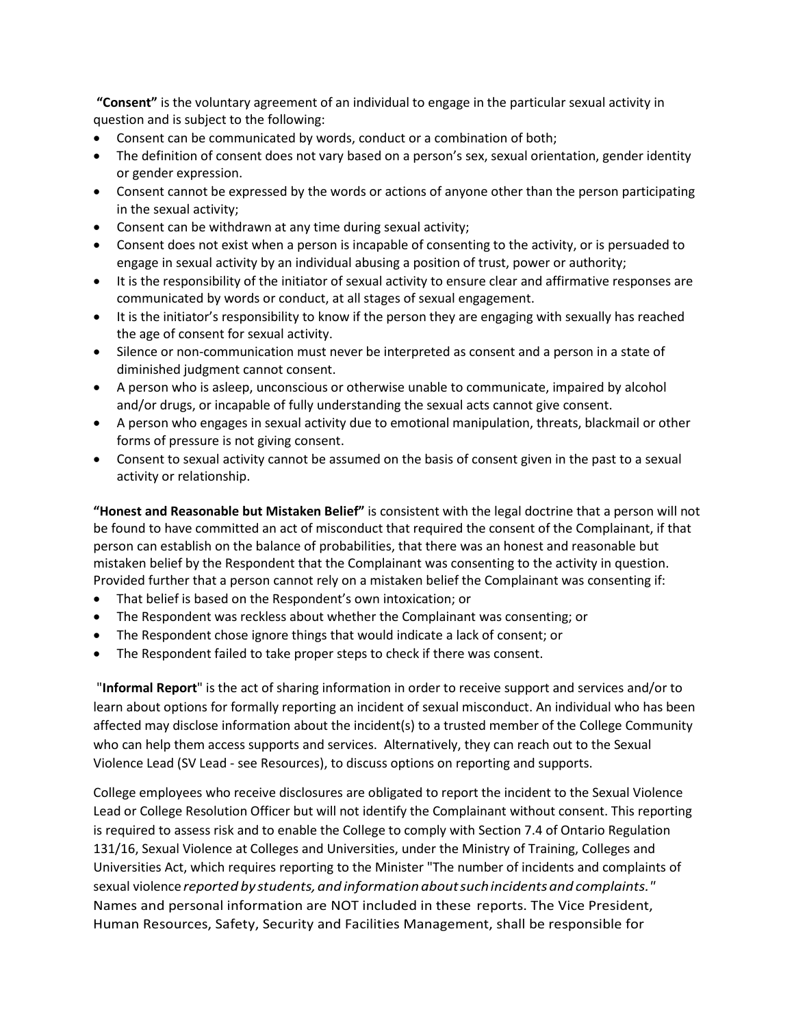**"Consent"** is the voluntary agreement of an individual to engage in the particular sexual activity in question and is subject to the following:

- Consent can be communicated by words, conduct or a combination of both;
- The definition of consent does not vary based on a person's sex, sexual orientation, gender identity or gender expression.
- Consent cannot be expressed by the words or actions of anyone other than the person participating in the sexual activity;
- Consent can be withdrawn at any time during sexual activity;
- Consent does not exist when a person is incapable of consenting to the activity, or is persuaded to engage in sexual activity by an individual abusing a position of trust, power or authority;
- It is the responsibility of the initiator of sexual activity to ensure clear and affirmative responses are communicated by words or conduct, at all stages of sexual engagement.
- It is the initiator's responsibility to know if the person they are engaging with sexually has reached the age of consent for sexual activity.
- Silence or non-communication must never be interpreted as consent and a person in a state of diminished judgment cannot consent.
- A person who is asleep, unconscious or otherwise unable to communicate, impaired by alcohol and/or drugs, or incapable of fully understanding the sexual acts cannot give consent.
- A person who engages in sexual activity due to emotional manipulation, threats, blackmail or other forms of pressure is not giving consent.
- Consent to sexual activity cannot be assumed on the basis of consent given in the past to a sexual activity or relationship.

**"Honest and Reasonable but Mistaken Belief"** is consistent with the legal doctrine that a person will not be found to have committed an act of misconduct that required the consent of the Complainant, if that person can establish on the balance of probabilities, that there was an honest and reasonable but mistaken belief by the Respondent that the Complainant was consenting to the activity in question. Provided further that a person cannot rely on a mistaken belief the Complainant was consenting if:

- That belief is based on the Respondent's own intoxication; or
- The Respondent was reckless about whether the Complainant was consenting; or
- The Respondent chose ignore things that would indicate a lack of consent; or
- The Respondent failed to take proper steps to check if there was consent.

"**Informal Report**" is the act of sharing information in order to receive support and services and/or to learn about options for formally reporting an incident of sexual misconduct. An individual who has been affected may disclose information about the incident(s) to a trusted member of the College Community who can help them access supports and services. Alternatively, they can reach out to the Sexual Violence Lead (SV Lead - see Resources), to discuss options on reporting and supports.

College employees who receive disclosures are obligated to report the incident to the Sexual Violence Lead or College Resolution Officer but will not identify the Complainant without consent. This reporting is required to assess risk and to enable the College to comply with Section 7.4 of Ontario Regulation 131/16, Sexual Violence at Colleges and Universities, under the Ministry of Training, Colleges and Universities Act, which requires reporting to the Minister "The number of incidents and complaints of sexual violence *reported* by *students, and information about such incidents and complaints."* Names and personal information are NOT included in these reports. The Vice President, Human Resources, Safety, Security and Facilities Management, shall be responsible for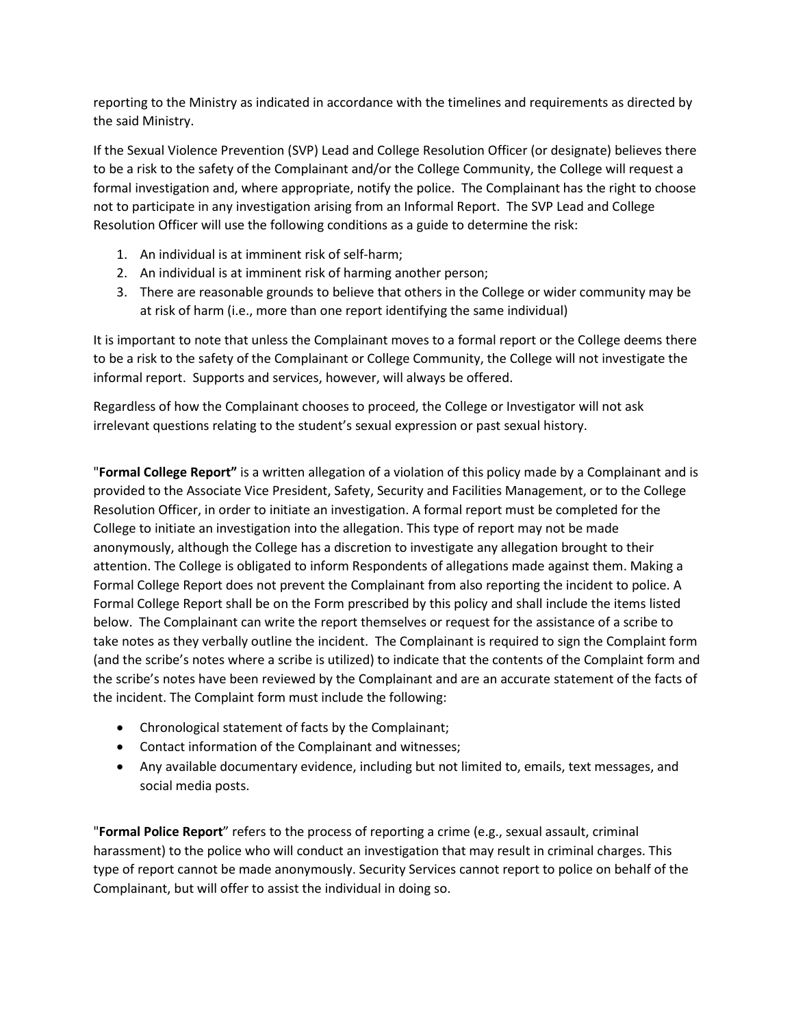reporting to the Ministry as indicated in accordance with the timelines and requirements as directed by the said Ministry.

If the Sexual Violence Prevention (SVP) Lead and College Resolution Officer (or designate) believes there to be a risk to the safety of the Complainant and/or the College Community, the College will request a formal investigation and, where appropriate, notify the police. The Complainant has the right to choose not to participate in any investigation arising from an Informal Report. The SVP Lead and College Resolution Officer will use the following conditions as a guide to determine the risk:

- 1. An individual is at imminent risk of self-harm;
- 2. An individual is at imminent risk of harming another person;
- 3. There are reasonable grounds to believe that others in the College or wider community may be at risk of harm (i.e., more than one report identifying the same individual)

It is important to note that unless the Complainant moves to a formal report or the College deems there to be a risk to the safety of the Complainant or College Community, the College will not investigate the informal report. Supports and services, however, will always be offered.

Regardless of how the Complainant chooses to proceed, the College or Investigator will not ask irrelevant questions relating to the student's sexual expression or past sexual history.

"**Formal College Report"** is a written allegation of a violation of this policy made by a Complainant and is provided to the Associate Vice President, Safety, Security and Facilities Management, or to the College Resolution Officer, in order to initiate an investigation. A formal report must be completed for the College to initiate an investigation into the allegation. This type of report may not be made anonymously, although the College has a discretion to investigate any allegation brought to their attention. The College is obligated to inform Respondents of allegations made against them. Making a Formal College Report does not prevent the Complainant from also reporting the incident to police. A Formal College Report shall be on the Form prescribed by this policy and shall include the items listed below. The Complainant can write the report themselves or request for the assistance of a scribe to take notes as they verbally outline the incident. The Complainant is required to sign the Complaint form (and the scribe's notes where a scribe is utilized) to indicate that the contents of the Complaint form and the scribe's notes have been reviewed by the Complainant and are an accurate statement of the facts of the incident. The Complaint form must include the following:

- Chronological statement of facts by the Complainant;
- Contact information of the Complainant and witnesses;
- Any available documentary evidence, including but not limited to, emails, text messages, and social media posts.

"**Formal Police Report**" refers to the process of reporting a crime (e.g., sexual assault, criminal harassment) to the police who will conduct an investigation that may result in criminal charges. This type of report cannot be made anonymously. Security Services cannot report to police on behalf of the Complainant, but will offer to assist the individual in doing so.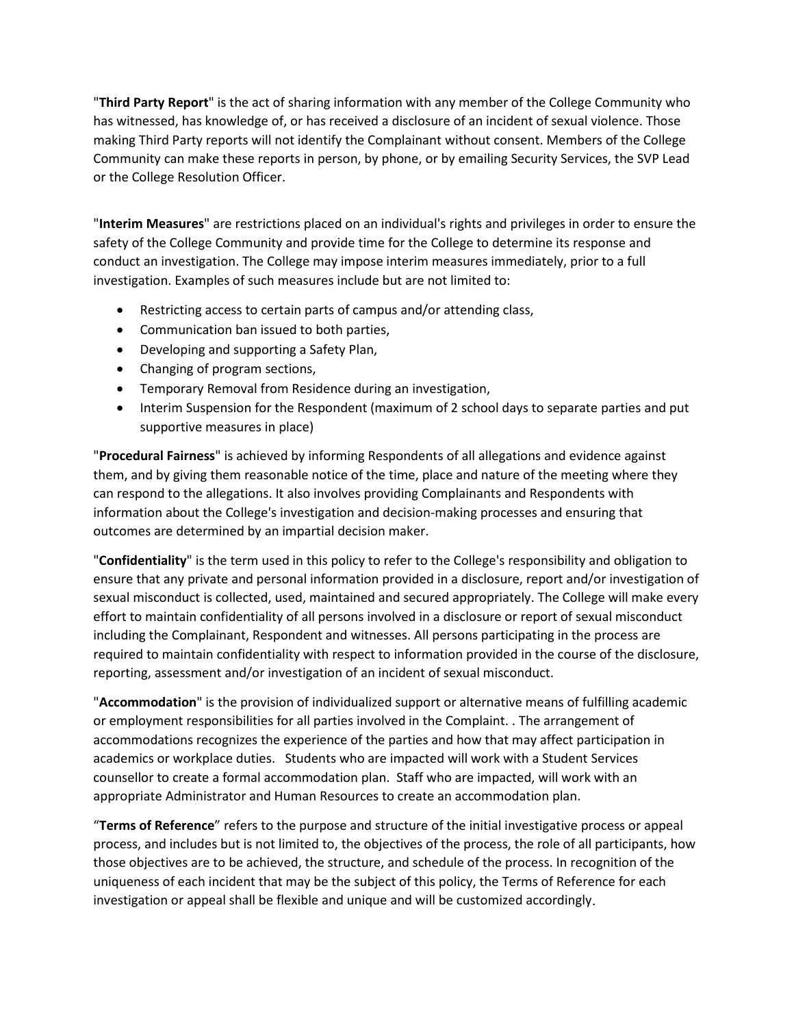"**Third Party Report**" is the act of sharing information with any member of the College Community who has witnessed, has knowledge of, or has received a disclosure of an incident of sexual violence. Those making Third Party reports will not identify the Complainant without consent. Members of the College Community can make these reports in person, by phone, or by emailing Security Services, the SVP Lead or the College Resolution Officer.

"**Interim Measures**" are restrictions placed on an individual's rights and privileges in order to ensure the safety of the College Community and provide time for the College to determine its response and conduct an investigation. The College may impose interim measures immediately, prior to a full investigation. Examples of such measures include but are not limited to:

- Restricting access to certain parts of campus and/or attending class,
- Communication ban issued to both parties,
- Developing and supporting a Safety Plan,
- Changing of program sections,
- Temporary Removal from Residence during an investigation,
- Interim Suspension for the Respondent (maximum of 2 school days to separate parties and put supportive measures in place)

"**Procedural Fairness**" is achieved by informing Respondents of all allegations and evidence against them, and by giving them reasonable notice of the time, place and nature of the meeting where they can respond to the allegations. It also involves providing Complainants and Respondents with information about the College's investigation and decision-making processes and ensuring that outcomes are determined by an impartial decision maker.

"**Confidentiality**" is the term used in this policy to refer to the College's responsibility and obligation to ensure that any private and personal information provided in a disclosure, report and/or investigation of sexual misconduct is collected, used, maintained and secured appropriately. The College will make every effort to maintain confidentiality of all persons involved in a disclosure or report of sexual misconduct including the Complainant, Respondent and witnesses. All persons participating in the process are required to maintain confidentiality with respect to information provided in the course of the disclosure, reporting, assessment and/or investigation of an incident of sexual misconduct.

"**Accommodation**" is the provision of individualized support or alternative means of fulfilling academic or employment responsibilities for all parties involved in the Complaint. . The arrangement of accommodations recognizes the experience of the parties and how that may affect participation in academics or workplace duties. Students who are impacted will work with a Student Services counsellor to create a formal accommodation plan. Staff who are impacted, will work with an appropriate Administrator and Human Resources to create an accommodation plan.

"**Terms of Reference**" refers to the purpose and structure of the initial investigative process or appeal process, and includes but is not limited to, the objectives of the process, the role of all participants, how those objectives are to be achieved, the structure, and schedule of the process. In recognition of the uniqueness of each incident that may be the subject of this policy, the Terms of Reference for each investigation or appeal shall be flexible and unique and will be customized accordingly.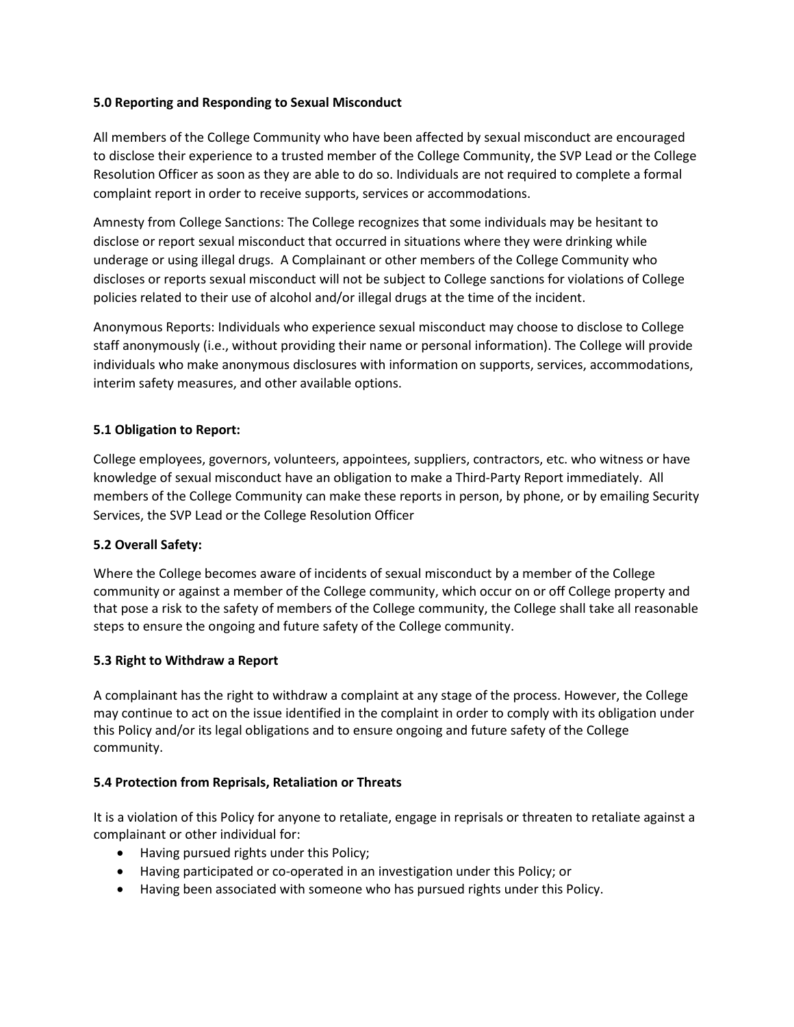#### **5.0 Reporting and Responding to Sexual Misconduct**

All members of the College Community who have been affected by sexual misconduct are encouraged to disclose their experience to a trusted member of the College Community, the SVP Lead or the College Resolution Officer as soon as they are able to do so. Individuals are not required to complete a formal complaint report in order to receive supports, services or accommodations.

Amnesty from College Sanctions: The College recognizes that some individuals may be hesitant to disclose or report sexual misconduct that occurred in situations where they were drinking while underage or using illegal drugs. A Complainant or other members of the College Community who discloses or reports sexual misconduct will not be subject to College sanctions for violations of College policies related to their use of alcohol and/or illegal drugs at the time of the incident.

Anonymous Reports: Individuals who experience sexual misconduct may choose to disclose to College staff anonymously (i.e., without providing their name or personal information). The College will provide individuals who make anonymous disclosures with information on supports, services, accommodations, interim safety measures, and other available options.

## **5.1 Obligation to Report:**

College employees, governors, volunteers, appointees, suppliers, contractors, etc. who witness or have knowledge of sexual misconduct have an obligation to make a Third-Party Report immediately. All members of the College Community can make these reports in person, by phone, or by emailing Security Services, the SVP Lead or the College Resolution Officer

## **5.2 Overall Safety:**

Where the College becomes aware of incidents of sexual misconduct by a member of the College community or against a member of the College community, which occur on or off College property and that pose a risk to the safety of members of the College community, the College shall take all reasonable steps to ensure the ongoing and future safety of the College community.

#### **5.3 Right to Withdraw a Report**

A complainant has the right to withdraw a complaint at any stage of the process. However, the College may continue to act on the issue identified in the complaint in order to comply with its obligation under this Policy and/or its legal obligations and to ensure ongoing and future safety of the College community.

#### **5.4 Protection from Reprisals, Retaliation or Threats**

It is a violation of this Policy for anyone to retaliate, engage in reprisals or threaten to retaliate against a complainant or other individual for:

- Having pursued rights under this Policy;
- Having participated or co-operated in an investigation under this Policy; or
- Having been associated with someone who has pursued rights under this Policy.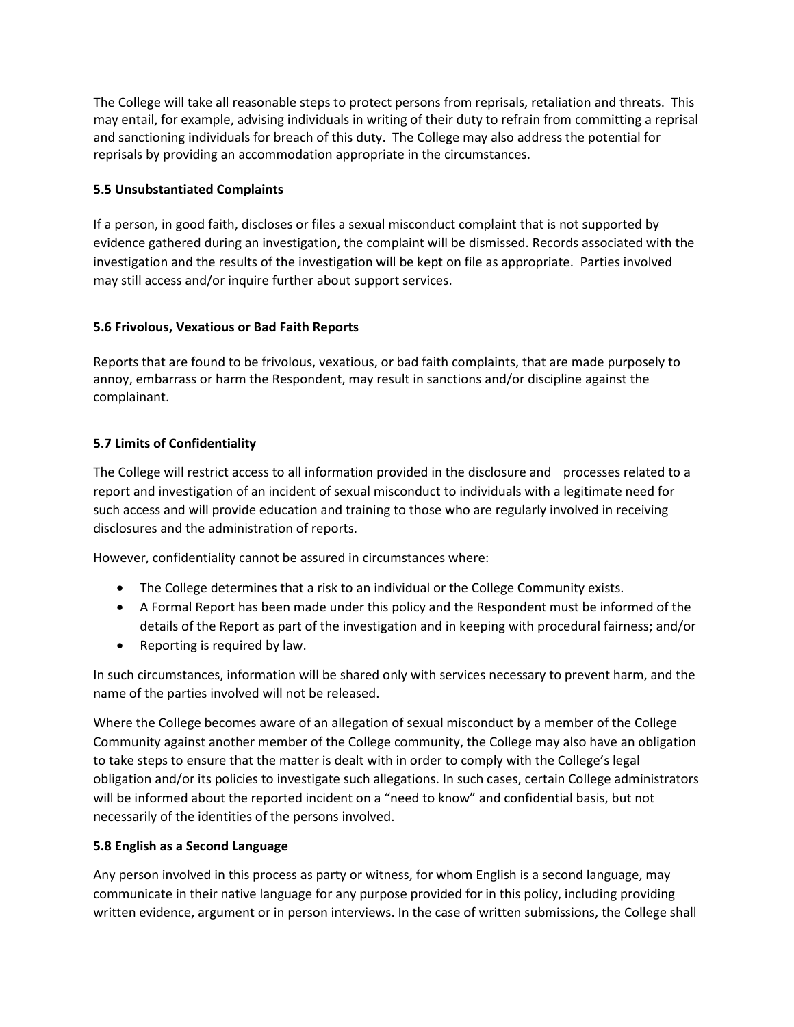The College will take all reasonable steps to protect persons from reprisals, retaliation and threats. This may entail, for example, advising individuals in writing of their duty to refrain from committing a reprisal and sanctioning individuals for breach of this duty. The College may also address the potential for reprisals by providing an accommodation appropriate in the circumstances.

## **5.5 Unsubstantiated Complaints**

If a person, in good faith, discloses or files a sexual misconduct complaint that is not supported by evidence gathered during an investigation, the complaint will be dismissed. Records associated with the investigation and the results of the investigation will be kept on file as appropriate. Parties involved may still access and/or inquire further about support services.

## **5.6 Frivolous, Vexatious or Bad Faith Reports**

Reports that are found to be frivolous, vexatious, or bad faith complaints, that are made purposely to annoy, embarrass or harm the Respondent, may result in sanctions and/or discipline against the complainant.

## **5.7 Limits of Confidentiality**

The College will restrict access to all information provided in the disclosure and processes related to a report and investigation of an incident of sexual misconduct to individuals with a legitimate need for such access and will provide education and training to those who are regularly involved in receiving disclosures and the administration of reports.

However, confidentiality cannot be assured in circumstances where:

- The College determines that a risk to an individual or the College Community exists.
- A Formal Report has been made under this policy and the Respondent must be informed of the details of the Report as part of the investigation and in keeping with procedural fairness; and/or
- Reporting is required by law.

In such circumstances, information will be shared only with services necessary to prevent harm, and the name of the parties involved will not be released.

Where the College becomes aware of an allegation of sexual misconduct by a member of the College Community against another member of the College community, the College may also have an obligation to take steps to ensure that the matter is dealt with in order to comply with the College's legal obligation and/or its policies to investigate such allegations. In such cases, certain College administrators will be informed about the reported incident on a "need to know" and confidential basis, but not necessarily of the identities of the persons involved.

## **5.8 English as a Second Language**

Any person involved in this process as party or witness, for whom English is a second language, may communicate in their native language for any purpose provided for in this policy, including providing written evidence, argument or in person interviews. In the case of written submissions, the College shall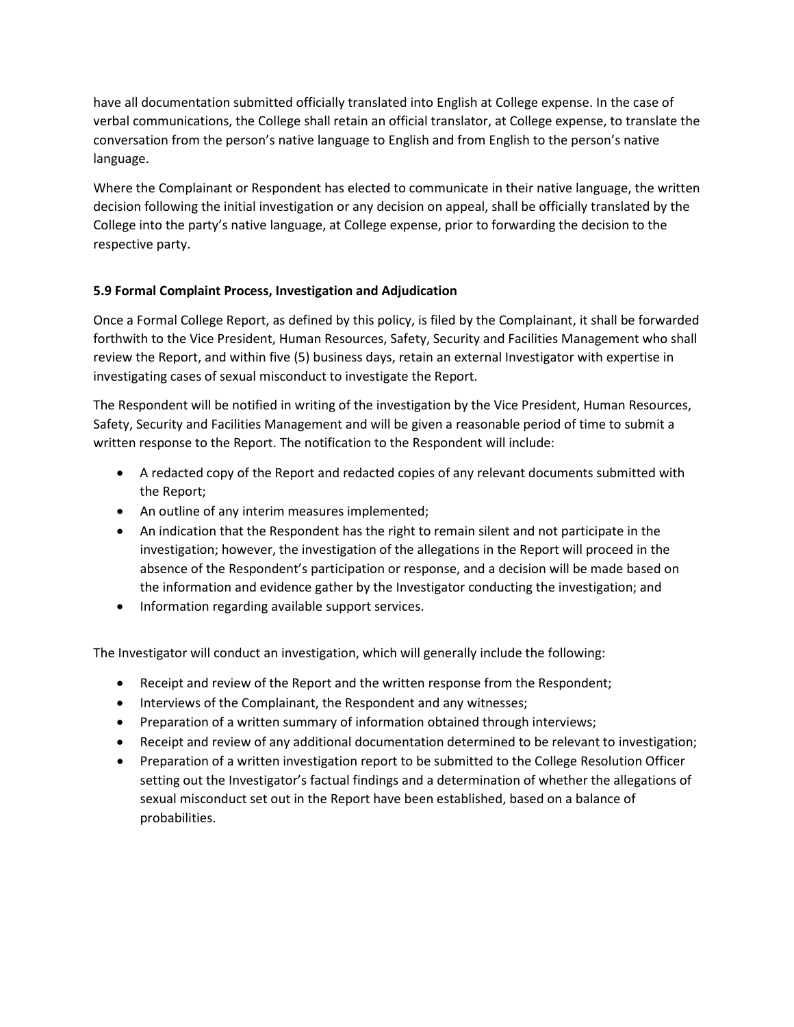have all documentation submitted officially translated into English at College expense. In the case of verbal communications, the College shall retain an official translator, at College expense, to translate the conversation from the person's native language to English and from English to the person's native language.

Where the Complainant or Respondent has elected to communicate in their native language, the written decision following the initial investigation or any decision on appeal, shall be officially translated by the College into the party's native language, at College expense, prior to forwarding the decision to the respective party.

## **5.9 Formal Complaint Process, Investigation and Adjudication**

Once a Formal College Report, as defined by this policy, is filed by the Complainant, it shall be forwarded forthwith to the Vice President, Human Resources, Safety, Security and Facilities Management who shall review the Report, and within five (5) business days, retain an external Investigator with expertise in investigating cases of sexual misconduct to investigate the Report.

The Respondent will be notified in writing of the investigation by the Vice President, Human Resources, Safety, Security and Facilities Management and will be given a reasonable period of time to submit a written response to the Report. The notification to the Respondent will include:

- A redacted copy of the Report and redacted copies of any relevant documents submitted with the Report;
- An outline of any interim measures implemented;
- An indication that the Respondent has the right to remain silent and not participate in the investigation; however, the investigation of the allegations in the Report will proceed in the absence of the Respondent's participation or response, and a decision will be made based on the information and evidence gather by the Investigator conducting the investigation; and
- Information regarding available support services.

The Investigator will conduct an investigation, which will generally include the following:

- Receipt and review of the Report and the written response from the Respondent;
- Interviews of the Complainant, the Respondent and any witnesses;
- Preparation of a written summary of information obtained through interviews;
- Receipt and review of any additional documentation determined to be relevant to investigation;
- Preparation of a written investigation report to be submitted to the College Resolution Officer setting out the Investigator's factual findings and a determination of whether the allegations of sexual misconduct set out in the Report have been established, based on a balance of probabilities.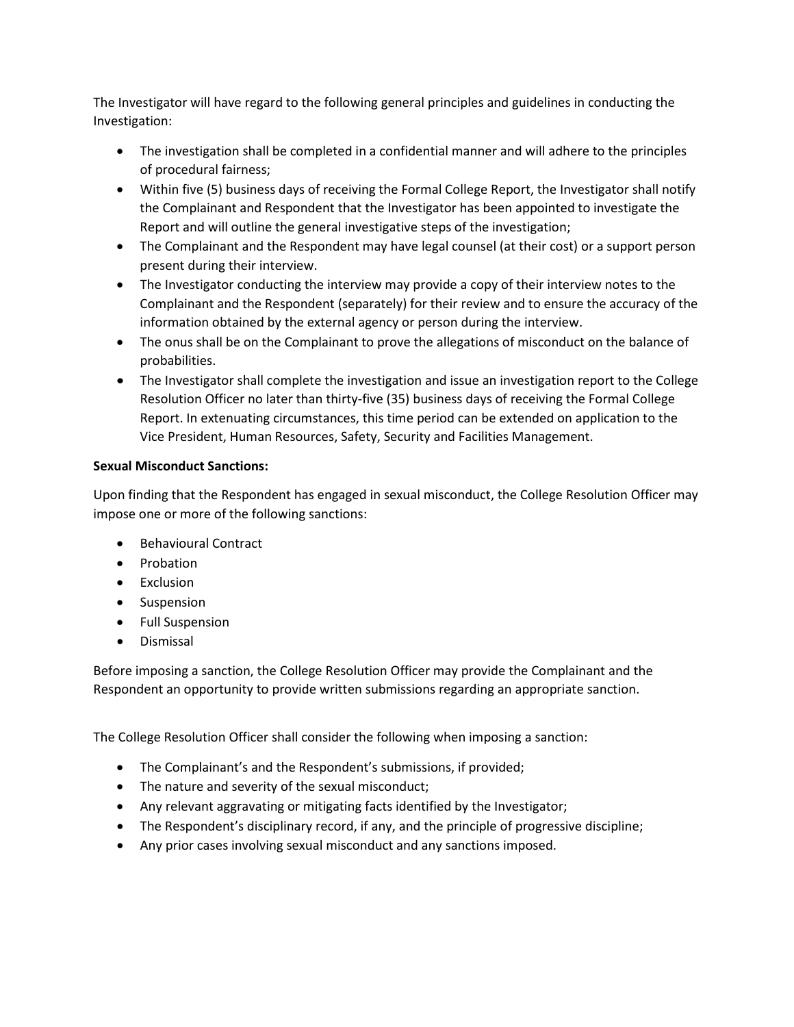The Investigator will have regard to the following general principles and guidelines in conducting the Investigation:

- The investigation shall be completed in a confidential manner and will adhere to the principles of procedural fairness;
- Within five (5) business days of receiving the Formal College Report, the Investigator shall notify the Complainant and Respondent that the Investigator has been appointed to investigate the Report and will outline the general investigative steps of the investigation;
- The Complainant and the Respondent may have legal counsel (at their cost) or a support person present during their interview.
- The Investigator conducting the interview may provide a copy of their interview notes to the Complainant and the Respondent (separately) for their review and to ensure the accuracy of the information obtained by the external agency or person during the interview.
- The onus shall be on the Complainant to prove the allegations of misconduct on the balance of probabilities.
- The Investigator shall complete the investigation and issue an investigation report to the College Resolution Officer no later than thirty-five (35) business days of receiving the Formal College Report. In extenuating circumstances, this time period can be extended on application to the Vice President, Human Resources, Safety, Security and Facilities Management.

## **Sexual Misconduct Sanctions:**

Upon finding that the Respondent has engaged in sexual misconduct, the College Resolution Officer may impose one or more of the following sanctions:

- Behavioural Contract
- Probation
- Exclusion
- Suspension
- Full Suspension
- Dismissal

Before imposing a sanction, the College Resolution Officer may provide the Complainant and the Respondent an opportunity to provide written submissions regarding an appropriate sanction.

The College Resolution Officer shall consider the following when imposing a sanction:

- The Complainant's and the Respondent's submissions, if provided;
- The nature and severity of the sexual misconduct;
- Any relevant aggravating or mitigating facts identified by the Investigator;
- The Respondent's disciplinary record, if any, and the principle of progressive discipline;
- Any prior cases involving sexual misconduct and any sanctions imposed.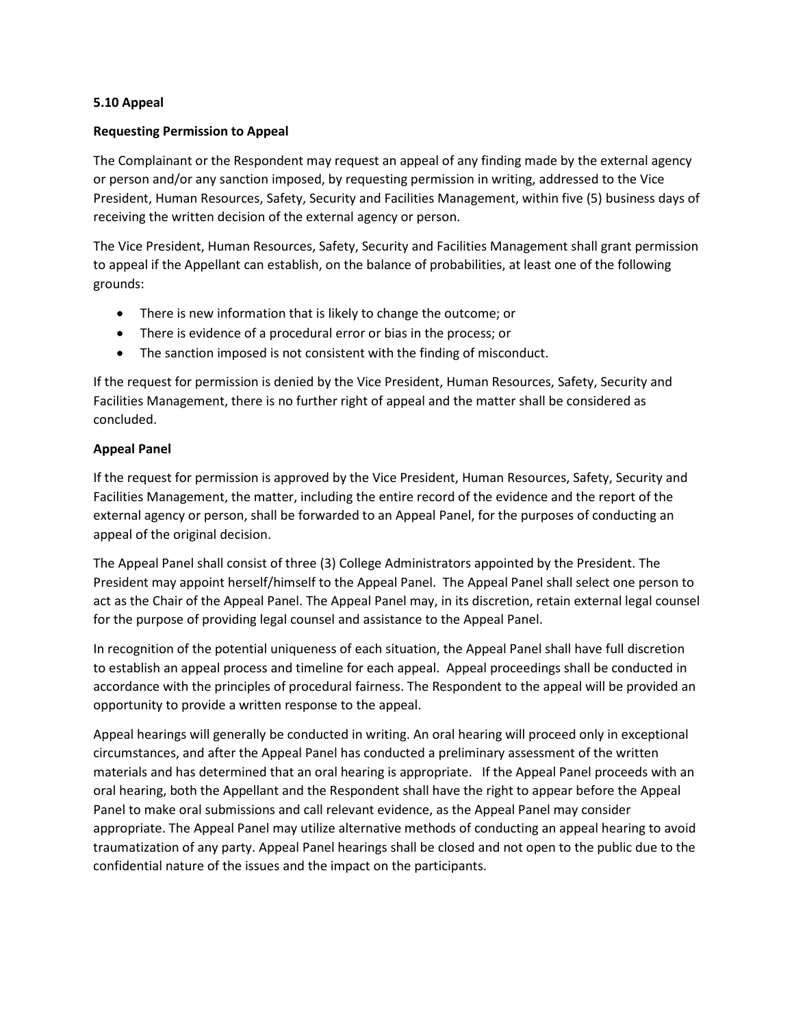#### **5.10 Appeal**

#### **Requesting Permission to Appeal**

The Complainant or the Respondent may request an appeal of any finding made by the external agency or person and/or any sanction imposed, by requesting permission in writing, addressed to the Vice President, Human Resources, Safety, Security and Facilities Management, within five (5) business days of receiving the written decision of the external agency or person.

The Vice President, Human Resources, Safety, Security and Facilities Management shall grant permission to appeal if the Appellant can establish, on the balance of probabilities, at least one of the following grounds:

- There is new information that is likely to change the outcome; or
- There is evidence of a procedural error or bias in the process; or
- The sanction imposed is not consistent with the finding of misconduct.

If the request for permission is denied by the Vice President, Human Resources, Safety, Security and Facilities Management, there is no further right of appeal and the matter shall be considered as concluded.

#### **Appeal Panel**

If the request for permission is approved by the Vice President, Human Resources, Safety, Security and Facilities Management, the matter, including the entire record of the evidence and the report of the external agency or person, shall be forwarded to an Appeal Panel, for the purposes of conducting an appeal of the original decision.

The Appeal Panel shall consist of three (3) College Administrators appointed by the President. The President may appoint herself/himself to the Appeal Panel. The Appeal Panel shall select one person to act as the Chair of the Appeal Panel. The Appeal Panel may, in its discretion, retain external legal counsel for the purpose of providing legal counsel and assistance to the Appeal Panel.

In recognition of the potential uniqueness of each situation, the Appeal Panel shall have full discretion to establish an appeal process and timeline for each appeal. Appeal proceedings shall be conducted in accordance with the principles of procedural fairness. The Respondent to the appeal will be provided an opportunity to provide a written response to the appeal.

Appeal hearings will generally be conducted in writing. An oral hearing will proceed only in exceptional circumstances, and after the Appeal Panel has conducted a preliminary assessment of the written materials and has determined that an oral hearing is appropriate. If the Appeal Panel proceeds with an oral hearing, both the Appellant and the Respondent shall have the right to appear before the Appeal Panel to make oral submissions and call relevant evidence, as the Appeal Panel may consider appropriate. The Appeal Panel may utilize alternative methods of conducting an appeal hearing to avoid traumatization of any party. Appeal Panel hearings shall be closed and not open to the public due to the confidential nature of the issues and the impact on the participants.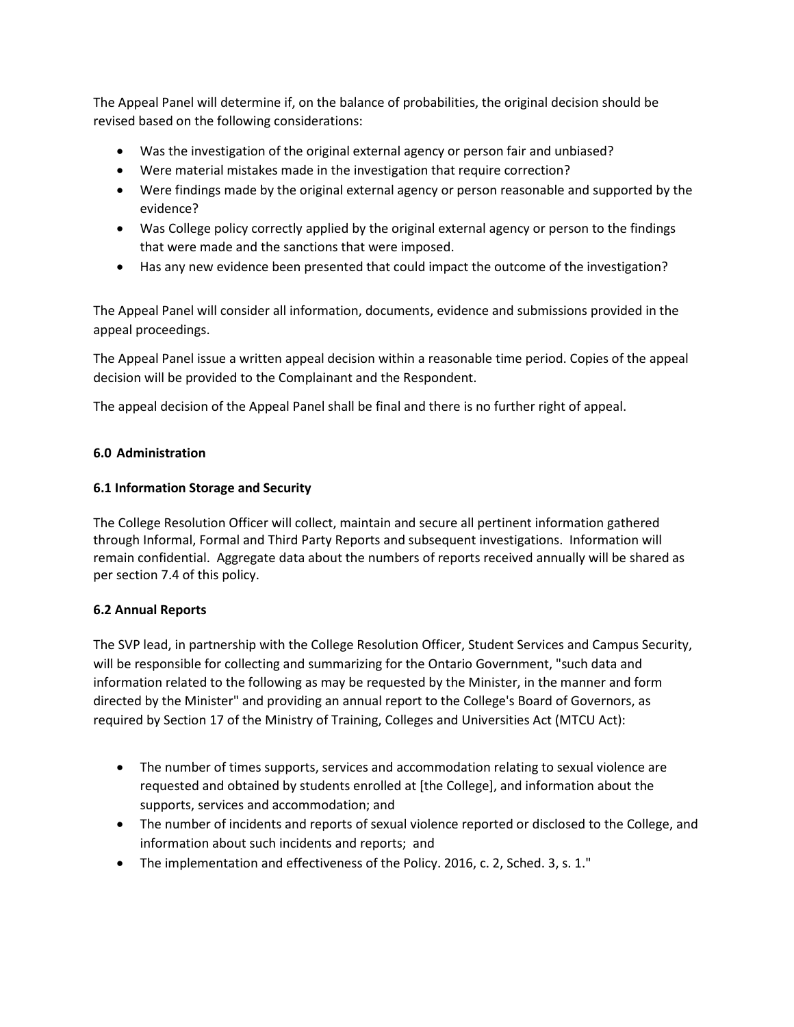The Appeal Panel will determine if, on the balance of probabilities, the original decision should be revised based on the following considerations:

- Was the investigation of the original external agency or person fair and unbiased?
- Were material mistakes made in the investigation that require correction?
- Were findings made by the original external agency or person reasonable and supported by the evidence?
- Was College policy correctly applied by the original external agency or person to the findings that were made and the sanctions that were imposed.
- Has any new evidence been presented that could impact the outcome of the investigation?

The Appeal Panel will consider all information, documents, evidence and submissions provided in the appeal proceedings.

The Appeal Panel issue a written appeal decision within a reasonable time period. Copies of the appeal decision will be provided to the Complainant and the Respondent.

The appeal decision of the Appeal Panel shall be final and there is no further right of appeal.

## **6.0 Administration**

## **6.1 Information Storage and Security**

The College Resolution Officer will collect, maintain and secure all pertinent information gathered through Informal, Formal and Third Party Reports and subsequent investigations. Information will remain confidential. Aggregate data about the numbers of reports received annually will be shared as per section 7.4 of this policy.

## **6.2 Annual Reports**

The SVP lead, in partnership with the College Resolution Officer, Student Services and Campus Security, will be responsible for collecting and summarizing for the Ontario Government, "such data and information related to the following as may be requested by the Minister, in the manner and form directed by the Minister" and providing an annual report to the College's Board of Governors, as required by Section 17 of the Ministry of Training, Colleges and Universities Act (MTCU Act):

- The number of times supports, services and accommodation relating to sexual violence are requested and obtained by students enrolled at [the College], and information about the supports, services and accommodation; and
- The number of incidents and reports of sexual violence reported or disclosed to the College, and information about such incidents and reports; and
- The implementation and effectiveness of the Policy. 2016, c. 2, Sched. 3, s. 1."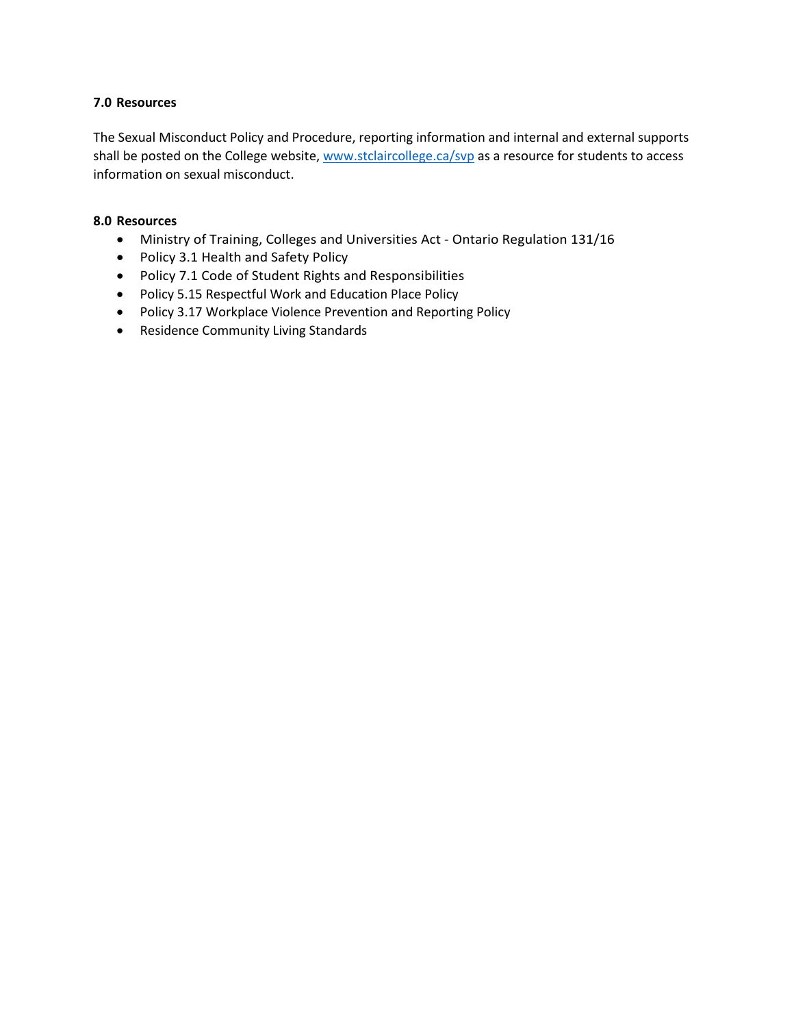#### **7.0 Resources**

The Sexual Misconduct Policy and Procedure, reporting information and internal and external supports shall be posted on the College website, [www.stclaircollege.ca/svp](http://www.stclaircollege.ca/svp) as a resource for students to access information on sexual misconduct.

#### **8.0 Resources**

- [Ministry of Training, Colleges and Universities Act -](https://www.ontario.ca/laws/regulation/160131) Ontario Regulation 131/16
- Policy 3.1 Health and Safety Policy
- Policy 7.1 Code of Student Rights and Responsibilities
- Policy 5.15 Respectful Work and Education Place Policy
- Policy 3.17 Workplace Violence Prevention and Reporting Policy
- Residence Community Living Standards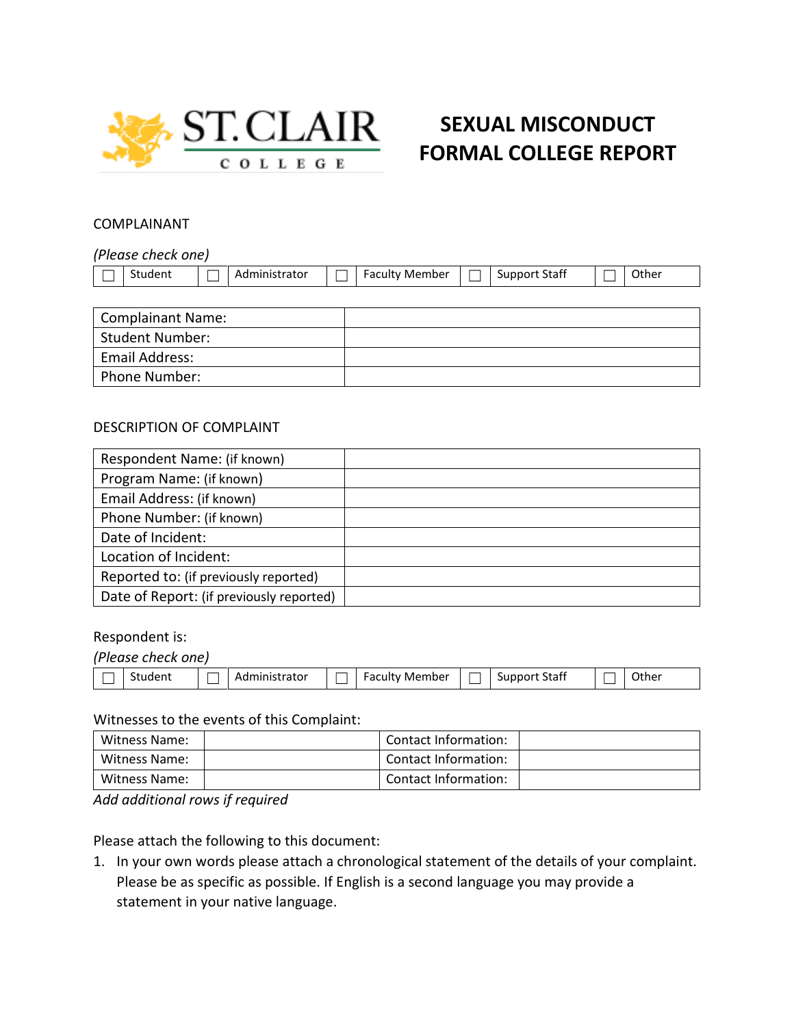

# **SEXUAL MISCONDUCT FORMAL COLLEGE REPORT**

#### COMPLAINANT

*(Please check one)*

| $\sim$<br>Student | Administrator | Member<br>aculty | Support Staff | Other |
|-------------------|---------------|------------------|---------------|-------|
|                   |               |                  |               |       |

| <b>Complainant Name:</b> |  |
|--------------------------|--|
| <b>Student Number:</b>   |  |
| Email Address:           |  |
| <b>Phone Number:</b>     |  |

## DESCRIPTION OF COMPLAINT

| Respondent Name: (if known)              |  |
|------------------------------------------|--|
| Program Name: (if known)                 |  |
| Email Address: (if known)                |  |
| Phone Number: (if known)                 |  |
| Date of Incident:                        |  |
| Location of Incident:                    |  |
| Reported to: (if previously reported)    |  |
| Date of Report: (if previously reported) |  |

#### Respondent is:

| (Please check one) |               |                       |               |       |
|--------------------|---------------|-----------------------|---------------|-------|
| Student            | Administrator | <b>Faculty Member</b> | Support Staff | Other |

#### Witnesses to the events of this Complaint:

| Witness Name: | Contact Information: |  |
|---------------|----------------------|--|
| Witness Name: | Contact Information: |  |
| Witness Name: | Contact Information: |  |

*Add additional rows if required*

Please attach the following to this document:

1. In your own words please attach a chronological statement of the details of your complaint. Please be as specific as possible. If English is a second language you may provide a statement in your native language.